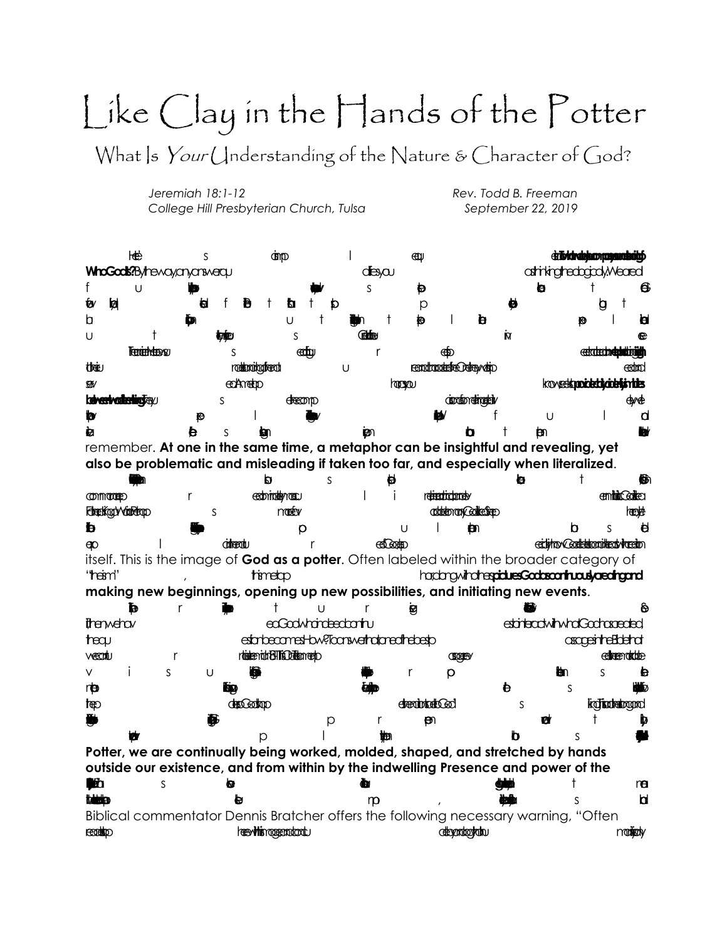## Like Clay in the Hands of the Potter

What |s Your Understanding of the Nature & Character of God?

Jeremiah 18:1-12 College Hill Presbyterian Church, Tulsa Rev. Todd B. Freeman September 22, 2019

НËР  $\mathbf{I}$ dzībidrabhaonama  $\overline{\mathsf{S}}$ **G**in D € WhoGods?Bythewayanyaniwerau atrikighedgad. Meaed desycu f  $\ddagger$ Ü S Ð **a** 6 ₩ Ы Ð  $^{\dagger}$ ħ  $\circ$ ы h  $\mathsf{b}$ Ü t ta  $\mathsf{I}$ b đ **Refere** U  $\mathbf S$ M œ Trenterheteres eentu <u> extratectnes</u>  $\mathsf{r}$ الأتفان  $\varsigma$ ക്ക **roddenoikodkeroti** their remotorodere Delegyvatio U കαhml koveetkapoidetdycidetishides **GK/** ecAmetro hoppou **kaiveetvoitetirotavu**  $\mathsf{S}$ **dreamp** disposible direction dwde b U d Ю 卤 b bn. remember. At one in the same time, a metaphor can be insightful and revealing, yet also be problematic and misleading if taken too far, and especially when literalized. p.  $\mathbf S$ ₩ b  $\ddagger$ 66∩ edominational retiredictionsly **COMMODIARD**  $\mathsf{I}$ j emining College  $\mathsf{r}$ Forretikoat vointetaap monety abitebran Collegiene heeMe S  $\mathbf{m}$ b  $\mathbf b$  $\mathsf{S}$  $\theta$  $\circ$  $\overline{1}$ eiching Contention interchingen domentu r **CELGORED**  $\infty$ itself. This is the image of God as a potter. Often labeled within the broader category of hardmovindresiduesGodscontraskaediaand "heim" timetap making new beginnings, opening up new possibilities, and initiating new events. Ù ь t r ø ଲ r thenwelow enGrowhringentrum etateactwihwhalGadhaaeded estarbecamest-bw?licanswerhadpreathebesp **asopeinteEdend**  $\mathsf{t}$  and  $\mathsf{t}$ rteteericht BIIfs Deterrento vecuti edreemokode  $\mathsf{r}$ CEOGESY  $\vee$ İ  $\mathsf{S}$  $\overline{S}$  $\mathbf{p}$ U a p  $\mathsf{r}$ ₩m rb đ S ۳ь docodop ka Tisadrailogard **tep deabled** S  $\ddagger$  $\Theta$ ь W p  $\mathsf{L}$ ₩ ₩€ D Potter, we are continually being worked, molded, shaped, and stretched by hands outside our existence, and from within by the indwelling Presence and power of the **iti**b  $\mathsf{S}$ Ð t đм ra **trings**  $\varsigma$ b m Biblical commentator Dennis Bratcher offers the following necessary warning, "Often **heevittismodeprodcodu** debandrookdhu **ECONO** notichy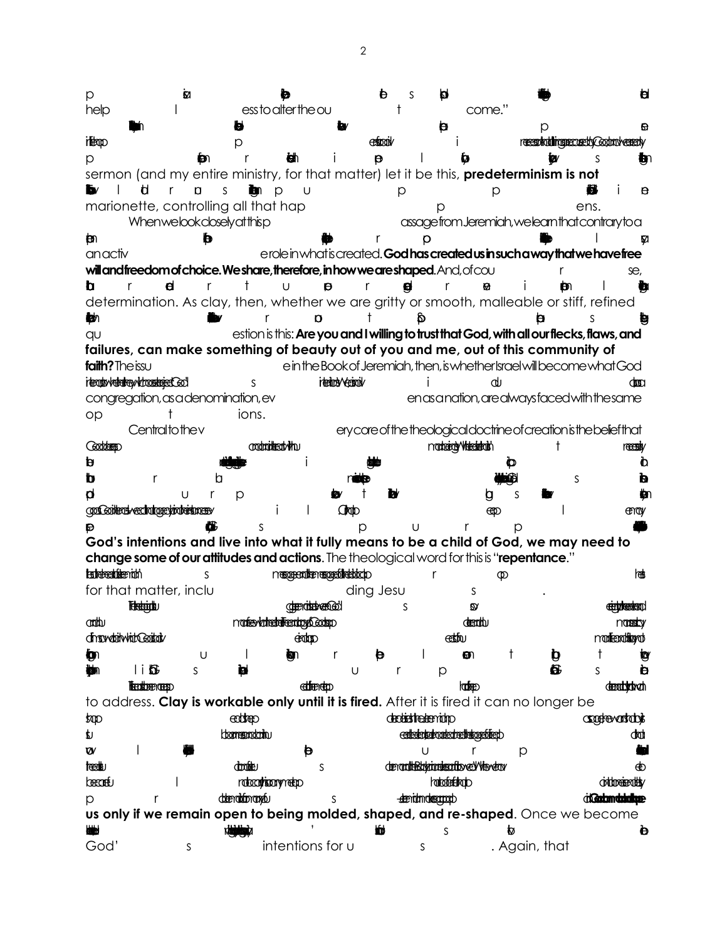Ħ **M** b S p. p help ess to alter the ou come."  $\overline{1}$  $\ddagger$  $\mathbf{e}$ Þ D receptiviting recording Coduct ceredy **itempo** extrodiv Ť p w p Ð  $\mathsf{r}$ ω÷ Ť  $\Theta$  $\mathbf{I}$ Ø S Ð sermon (and my entire ministry, for that matter) let it be this, predeterminism is not Ь d  $\mathsf{r}$  $\Box$  $S$  $\mathbf{b}$  p  $\cup$ 8  $\theta$ p p marionette, controlling all that hap ens. p Whenwelookcloselyatthisp assagefrom Jeremiah, we learn that contrary to a ₿m b r O M anactiv erole in what is created. God has created us in such a way that we have free will and freedom of choice. We share, therefore, in how we are shaped. And, of cou se. b d  $^{\dagger}$ U Ò,  $\mathsf{r}$  $\mathsf{r}$  $\theta$  $\mathsf{r}$ e,  $\mathsf{r}$ Ť Ð  $\perp$ Ю. determination. As clay, then, whether we are gritty or smooth, malleable or stiff, refined  $\ddagger$ ۳т  $\mathbf{r}$ b. b ь  $QU$ estion is this: Are you and I willing to trust that God, with all our flecks, flaws, and failures, can make something of beauty out of you and me, out of this community of faith? The issu e in the Book of Jeremiah, then, is whether Israel will become what God idensity/abademy/changement Go' itedrow-S i.  $d<sub>1</sub>$ ক্ষেপ congregation, as a denomination, ev enasanation, arealwaysfaced with the same ions.  $OD$  $\ddagger$ 

Centraltothey ery core of the theological doctrine of creation is the belief that Goddenso conductive at who nadaetal Valeadaish recesiv  $\ddagger$  $\mathbf{p}$ Ť Ò b Þ  $\mathsf{r}$ h S  $\mathbf{d}$  $\cup$  $\mathsf{r}$ ₩m  $\mathsf{D}$ a  $\varsigma$ confident veclorige violent men i Oroto  $\overline{1}$  $\mathbf{I}$ <u>මා</u> ency

 $\mathbf{D}$  $\circ$  $\overline{1}$  $\mathsf{r}$  $\circ$ God's intentions and live into what it fully means to be a child of God, we may need to change some of our attitudes and actions. The theological word for this is "repentance." **Estabacidade**nado mergesatten ergebildebischo lon≇  $\mathbf{c}$  $\mathsf{r}$  $\mathfrak{D}$ for that matter, inclu ding Jesu S

**Telestoidiku denoteben@dd** detyterstand  $\mathbf{z}$ S narfesykoherbei<del>kendogo</del> Godspo deadth onathu nanadov dingwabitwhit@oitatv eidono eetthu mantenational  $\overline{1}$  $\mathbf{I}$ **in** U ian. en, t  $\mathbf b$  $\mathbf t$ tαv  $\mathsf{r}$ Ð  $\blacksquare$ **tim**  $\mathsf{S}$ Ы U  $\mathsf{r}$  $\circ$ 6  $\mathsf{S}$ **b Techbreviers** eddreneto **lookee denotistivch** to address. Clay is workable only until it is fired. After it is fired it can no longer be eddep dedistratemidip **Controvariable** top p. toomers motorin certestatschapped rechtstatschied dom

 $\overline{1}$  $\boldsymbol{w}$ Ü  $\mathsf{r}$ b  $\circ$ **teest**u denomination of the content of the condomote S ФÒ **Geconety** ratecultisemmete horizotentriado  $\overline{\phantom{a}}$ **orthorisedHy** detendationance -deendomdescopol disampoint  $\circ$  $\mathsf{r}$ S us only if we remain open to being molded, shaped, and re-shaped. Once we become ₩ S Ò intentions for u . Again, that God'  $\mathsf{S}$  $\mathsf{S}$